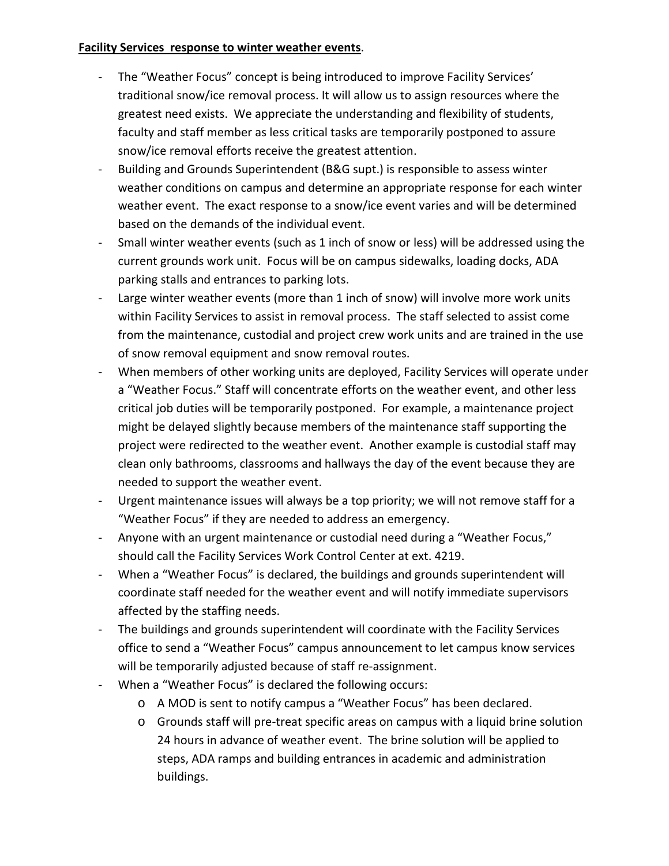## **Facility Services response to winter weather events**.

- The "Weather Focus" concept is being introduced to improve Facility Services' traditional snow/ice removal process. It will allow us to assign resources where the greatest need exists. We appreciate the understanding and flexibility of students, faculty and staff member as less critical tasks are temporarily postponed to assure snow/ice removal efforts receive the greatest attention.
- Building and Grounds Superintendent (B&G supt.) is responsible to assess winter weather conditions on campus and determine an appropriate response for each winter weather event. The exact response to a snow/ice event varies and will be determined based on the demands of the individual event.
- Small winter weather events (such as 1 inch of snow or less) will be addressed using the current grounds work unit. Focus will be on campus sidewalks, loading docks, ADA parking stalls and entrances to parking lots.
- Large winter weather events (more than 1 inch of snow) will involve more work units within Facility Services to assist in removal process. The staff selected to assist come from the maintenance, custodial and project crew work units and are trained in the use of snow removal equipment and snow removal routes.
- When members of other working units are deployed, Facility Services will operate under a "Weather Focus." Staff will concentrate efforts on the weather event, and other less critical job duties will be temporarily postponed. For example, a maintenance project might be delayed slightly because members of the maintenance staff supporting the project were redirected to the weather event. Another example is custodial staff may clean only bathrooms, classrooms and hallways the day of the event because they are needed to support the weather event.
- Urgent maintenance issues will always be a top priority; we will not remove staff for a "Weather Focus" if they are needed to address an emergency.
- Anyone with an urgent maintenance or custodial need during a "Weather Focus," should call the Facility Services Work Control Center at ext. 4219.
- When a "Weather Focus" is declared, the buildings and grounds superintendent will coordinate staff needed for the weather event and will notify immediate supervisors affected by the staffing needs.
- The buildings and grounds superintendent will coordinate with the Facility Services office to send a "Weather Focus" campus announcement to let campus know services will be temporarily adjusted because of staff re-assignment.
- When a "Weather Focus" is declared the following occurs:
	- o A MOD is sent to notify campus a "Weather Focus" has been declared.
	- o Grounds staff will pre-treat specific areas on campus with a liquid brine solution 24 hours in advance of weather event. The brine solution will be applied to steps, ADA ramps and building entrances in academic and administration buildings.